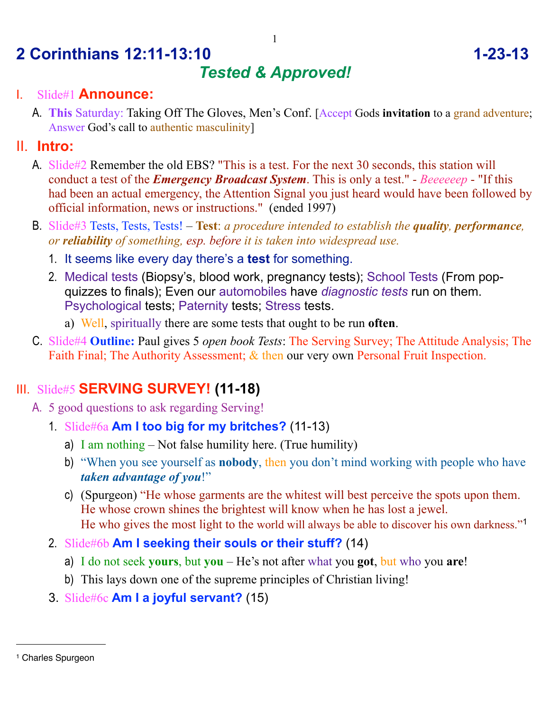# **2 Corinthians 12:11-13:10 1-23-13**

# *Tested & Approved!*

1

#### I. Slide#1 **Announce:**

A. **This** Saturday: Taking Off The Gloves, Men's Conf. [Accept Gods **invitation** to a grand adventure; Answer God's call to authentic masculinity]

#### II. **Intro:**

- A. Slide#2 Remember the old EBS? "This is a test. For the next 30 seconds, this station will conduct a test of the *Emergency Broadcast System*. This is only a test." - *Beeeeeep* - "If this had been an actual emergency, the Attention Signal you just heard would have been followed by official information, news or instructions." (ended 1997)
- B. Slide#3 Tests, Tests, Tests! **Test**: *a procedure intended to establish the quality, performance, or reliability of something, esp. before it is taken into widespread use.*
	- 1. It seems like every day there's a **test** for something.
	- 2. Medical tests (Biopsy's, blood work, pregnancy tests); School Tests (From popquizzes to finals); Even our automobiles have *diagnostic tests* run on them. Psychological tests; Paternity tests; Stress tests.
		- a) Well, spiritually there are some tests that ought to be run **often**.
- C. Slide#4 **Outline:** Paul gives 5 *open book Tests*: The Serving Survey; The Attitude Analysis; The Faith Final; The Authority Assessment; & then our very own Personal Fruit Inspection.

### III. Slide#5 **SERVING SURVEY! (11-18)**

- A. 5 good questions to ask regarding Serving!
	- 1. Slide#6a **Am I too big for my britches?** (11-13)
		- a) I am nothing  $-$  Not false humility here. (True humility)
		- b) "When you see yourself as **nobody**, then you don't mind working with people who have *taken advantage of you*!"
		- c) (Spurgeon) "He whose garments are the whitest will best perceive the spots upon them. He whose crown shines the brightest will know when he has lost a jewel. He who gives the most light to the world will always be able to discover his own darkness."[1](#page-0-0)
	- 2. Slide#6b **Am I seeking their souls or their stuff?** (14)
		- a) I do not seek **yours**, but **you** He's not after what you **got**, but who you **are**!
		- b) This lays down one of the supreme principles of Christian living!
	- 3. Slide#6c **Am I a joyful servant?** (15)

<span id="page-0-0"></span><sup>1</sup> Charles Spurgeon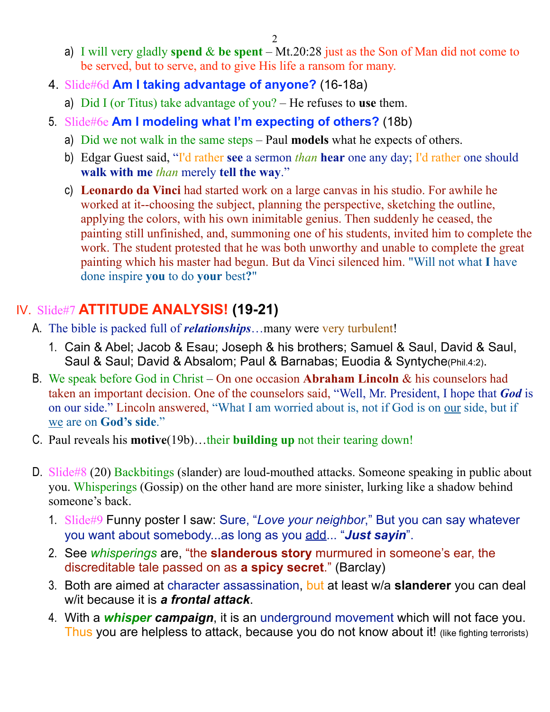- a) I will very gladly **spend** & **be spent** Mt.20:28 just as the Son of Man did not come to be served, but to serve, and to give His life a ransom for many.
- 4. Slide#6d **Am I taking advantage of anyone?** (16-18a)
	- a) Did I (or Titus) take advantage of you? He refuses to **use** them.
- 5. Slide#6e **Am I modeling what I'm expecting of others?** (18b)
	- a) Did we not walk in the same steps Paul **models** what he expects of others.
	- b) Edgar Guest said, "I'd rather **see** a sermon *than* **hear** one any day; I'd rather one should **walk with me** *than* merely **tell the way**."
	- c) **Leonardo da Vinci** had started work on a large canvas in his studio. For awhile he worked at it--choosing the subject, planning the perspective, sketching the outline, applying the colors, with his own inimitable genius. Then suddenly he ceased, the painting still unfinished, and, summoning one of his students, invited him to complete the work. The student protested that he was both unworthy and unable to complete the great painting which his master had begun. But da Vinci silenced him. "Will not what **I** have done inspire **you** to do **your** best**?**"

## IV. Slide#7 **ATTITUDE ANALYSIS! (19-21)**

- A. The bible is packed full of *relationships*…many were very turbulent!
	- 1. Cain & Abel; Jacob & Esau; Joseph & his brothers; Samuel & Saul, David & Saul, Saul & Saul; David & Absalom; Paul & Barnabas; Euodia & Syntyche(Phil.4:2).
- B. We speak before God in Christ On one occasion **Abraham Lincoln** & his counselors had taken an important decision. One of the counselors said, "Well, Mr. President, I hope that *God* is on our side." Lincoln answered, "What I am worried about is, not if God is on our side, but if we are on **God's side**."
- C. Paul reveals his **motive**(19b)…their **building up** not their tearing down!
- D. Slide#8 (20) Backbitings (slander) are loud-mouthed attacks. Someone speaking in public about you. Whisperings (Gossip) on the other hand are more sinister, lurking like a shadow behind someone's back.
	- 1. Slide#9 Funny poster I saw: Sure, "*Love your neighbor*," But you can say whatever you want about somebody...as long as you add... "*Just sayin*".
	- 2. See *whisperings* are, "the **slanderous story** murmured in someone's ear, the discreditable tale passed on as **a spicy secret**." (Barclay)
	- 3. Both are aimed at character assassination, but at least w/a **slanderer** you can deal w/it because it is *a frontal attack*.
	- 4. With a *whisper campaign*, it is an underground movement which will not face you. Thus you are helpless to attack, because you do not know about it! (like fighting terrorists)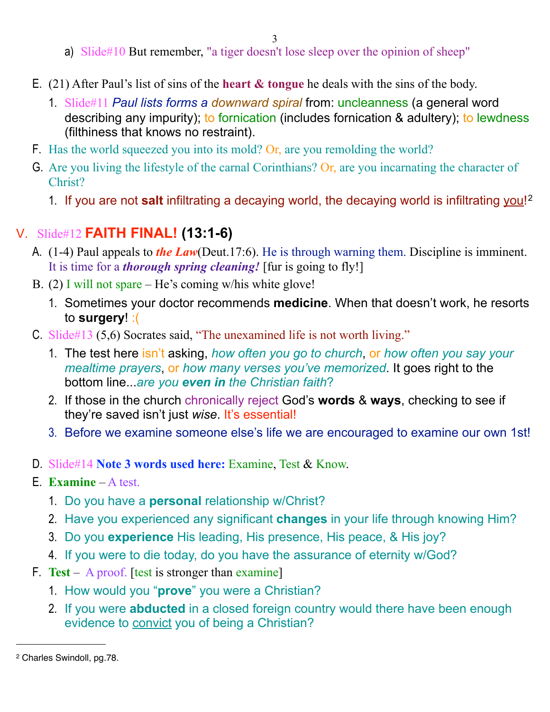3

- a) Slide#10 But remember, "a tiger doesn't lose sleep over the opinion of sheep"
- E. (21) After Paul's list of sins of the **heart & tongue** he deals with the sins of the body.
	- 1. Slide#11 *Paul lists forms a downward spiral* from: uncleanness (a general word describing any impurity); to fornication (includes fornication & adultery); to lewdness (filthiness that knows no restraint).
- F. Has the world squeezed you into its mold? Or, are you remolding the world?
- G. Are you living the lifestyle of the carnal Corinthians? Or, are you incarnating the character of Christ?
	- 1. If you are not **salt** infiltrating a decaying world, the decaying world is infiltrating you![2](#page-2-0)

#### V. Slide#12 **FAITH FINAL! (13:1-6)**

- A. (1-4) Paul appeals to *the Law*(Deut.17:6). He is through warning them. Discipline is imminent. It is time for a *thorough spring cleaning!* [fur is going to fly!]
- B. (2) I will not spare He's coming w/his white glove!
	- 1. Sometimes your doctor recommends **medicine**. When that doesn't work, he resorts to **surgery**! :(
- C. Slide#13 (5,6) Socrates said, "The unexamined life is not worth living."
	- 1. The test here isn't asking, *how often you go to church*, or *how often you say your mealtime prayers*, or *how many verses you've memorized*. It goes right to the bottom line...*are you even in the Christian faith*?
	- 2. If those in the church chronically reject God's **words** & **ways**, checking to see if they're saved isn't just *wise*. It's essential!
	- 3. Before we examine someone else's life we are encouraged to examine our own 1st!
- D. Slide#14 **Note 3 words used here:** Examine, Test & Know.
- E. **Examine** A test.
	- 1. Do you have a **personal** relationship w/Christ?
	- 2. Have you experienced any significant **changes** in your life through knowing Him?
	- 3. Do you **experience** His leading, His presence, His peace, & His joy?
	- 4. If you were to die today, do you have the assurance of eternity w/God?
- F. **Test** A proof. [test is stronger than examine]
	- 1. How would you "**prove**" you were a Christian?
	- 2. If you were **abducted** in a closed foreign country would there have been enough evidence to convict you of being a Christian?

<span id="page-2-0"></span><sup>2</sup> Charles Swindoll, pg.78.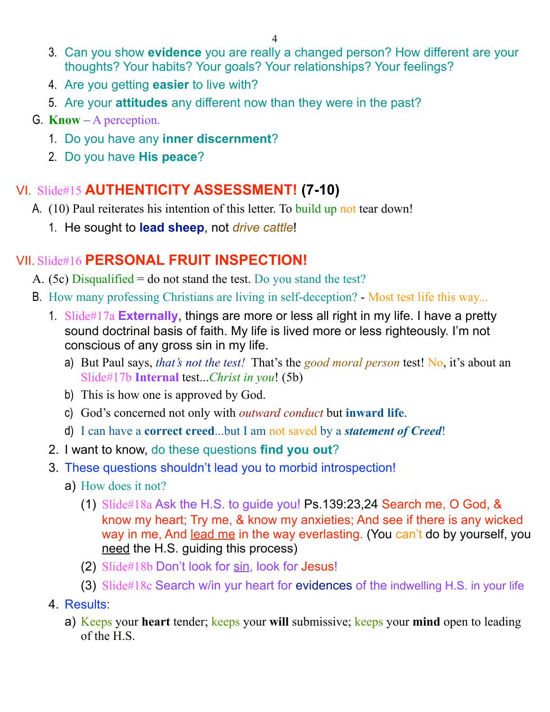- 3. Can you show **evidence** you are really a changed person? How different are your thoughts? Your habits? Your goals? Your relationships? Your feelings?
- 4. Are you getting **easier** to live with?
- 5. Are your **attitudes** any different now than they were in the past?
- G. **Know** A perception.
	- 1. Do you have any **inner discernment**?
	- 2. Do you have **His peace**?

# VI. Slide#15 **AUTHENTICITY ASSESSMENT! (7-10)**

- A. (10) Paul reiterates his intention of this letter. To build up not tear down!
	- 1. He sought to **lead sheep**, not *drive cattle*!

# VII. Slide#16 **PERSONAL FRUIT INSPECTION!**

- A. (5c) Disqualified = do not stand the test. Do you stand the test?
- B. How many professing Christians are living in self-deception? Most test life this way...
	- 1. Slide#17a **Externally**, things are more or less all right in my life. I have a pretty sound doctrinal basis of faith. My life is lived more or less righteously. I'm not conscious of any gross sin in my life.
		- a) But Paul says, *that's not the test!* That's the *good moral person* test! No, it's about an Slide#17b **Internal** test...*Christ in you*! (5b)
		- b) This is how one is approved by God.
		- c) God's concerned not only with *outward conduct* but **inward life**.
		- d) I can have a **correct creed**...but I am not saved by a *statement of Creed*!
	- 2. I want to know, do these questions **find you out**?
	- 3. These questions shouldn't lead you to morbid introspection!
		- a) How does it not?
			- (1) Slide#18a Ask the H.S. to guide you! Ps.139:23,24 Search me, O God, & know my heart; Try me, & know my anxieties; And see if there is any wicked way in me, And lead me in the way everlasting. (You can't do by yourself, you need the H.S. guiding this process)
			- (2) Slide#18b Don't look for sin, look for Jesus!
			- (3) Slide#18c Search w/in yur heart for evidences of the indwelling H.S. in your life
	- 4. Results:
		- a) Keeps your **heart** tender; keeps your **will** submissive; keeps your **mind** open to leading of the H.S.